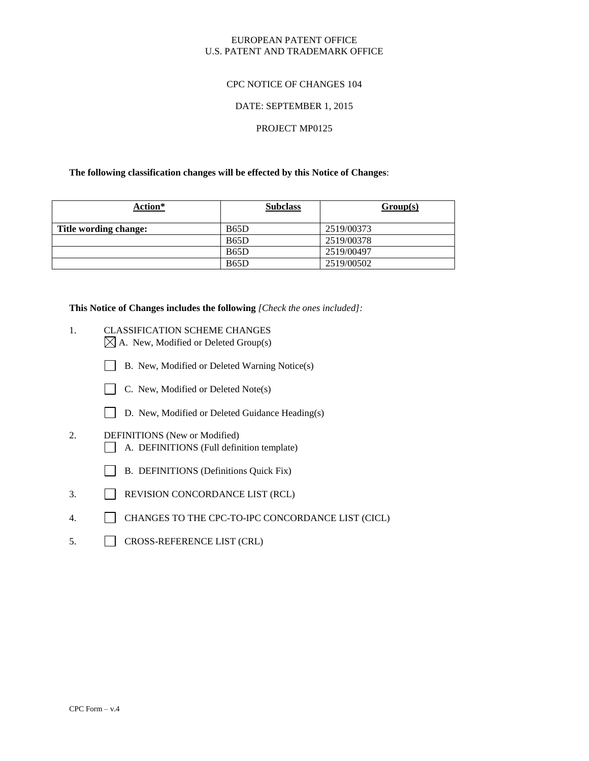## EUROPEAN PATENT OFFICE U.S. PATENT AND TRADEMARK OFFICE

# CPC NOTICE OF CHANGES 104

### DATE: SEPTEMBER 1, 2015

# PROJECT MP0125

### **The following classification changes will be effected by this Notice of Changes**:

| Action*               | <b>Subclass</b>   | Group(s)   |
|-----------------------|-------------------|------------|
| Title wording change: | B <sub>65</sub> D | 2519/00373 |
|                       | <b>B65D</b>       | 2519/00378 |
|                       | <b>B65D</b>       | 2519/00497 |
|                       | <b>B65D</b>       | 2519/00502 |

**This Notice of Changes includes the following** *[Check the ones included]:*

- 1. CLASSIFICATION SCHEME CHANGES  $\boxtimes$  A. New, Modified or Deleted Group(s)
	- B. New, Modified or Deleted Warning Notice(s)



- D. New, Modified or Deleted Guidance Heading(s)
- 2. DEFINITIONS (New or Modified) A. DEFINITIONS (Full definition template)
	- B. DEFINITIONS (Definitions Quick Fix)
- 3. REVISION CONCORDANCE LIST (RCL)
- 4. CHANGES TO THE CPC-TO-IPC CONCORDANCE LIST (CICL)
- 5. CROSS-REFERENCE LIST (CRL)